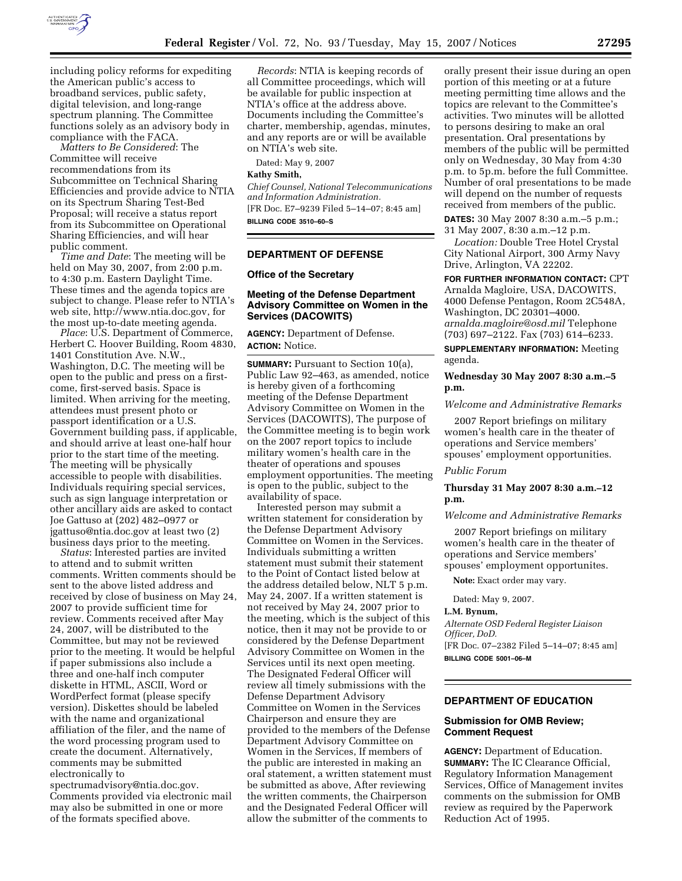

including policy reforms for expediting the American public's access to broadband services, public safety, digital television, and long-range spectrum planning. The Committee functions solely as an advisory body in compliance with the FACA.

*Matters to Be Considered*: The Committee will receive recommendations from its Subcommittee on Technical Sharing Efficiencies and provide advice to NTIA on its Spectrum Sharing Test-Bed Proposal; will receive a status report from its Subcommittee on Operational Sharing Efficiencies, and will hear public comment.

*Time and Date*: The meeting will be held on May 30, 2007, from 2:00 p.m. to 4:30 p.m. Eastern Daylight Time. These times and the agenda topics are subject to change. Please refer to NTIA's web site, http://www.ntia.doc.gov, for the most up-to-date meeting agenda.

*Place*: U.S. Department of Commerce, Herbert C. Hoover Building, Room 4830, 1401 Constitution Ave. N.W., Washington, D.C. The meeting will be open to the public and press on a firstcome, first-served basis. Space is limited. When arriving for the meeting, attendees must present photo or passport identification or a U.S. Government building pass, if applicable, and should arrive at least one-half hour prior to the start time of the meeting. The meeting will be physically accessible to people with disabilities. Individuals requiring special services, such as sign language interpretation or other ancillary aids are asked to contact Joe Gattuso at (202) 482–0977 or jgattuso@ntia.doc.gov at least two (2) business days prior to the meeting.

*Status*: Interested parties are invited to attend and to submit written comments. Written comments should be sent to the above listed address and received by close of business on May 24, 2007 to provide sufficient time for review. Comments received after May 24, 2007, will be distributed to the Committee, but may not be reviewed prior to the meeting. It would be helpful if paper submissions also include a three and one-half inch computer diskette in HTML, ASCII, Word or WordPerfect format (please specify version). Diskettes should be labeled with the name and organizational affiliation of the filer, and the name of the word processing program used to create the document. Alternatively, comments may be submitted electronically to

spectrumadvisory@ntia.doc.gov. Comments provided via electronic mail may also be submitted in one or more of the formats specified above.

*Records*: NTIA is keeping records of all Committee proceedings, which will be available for public inspection at NTIA's office at the address above. Documents including the Committee's charter, membership, agendas, minutes, and any reports are or will be available on NTIA's web site.

Dated: May 9, 2007

#### **Kathy Smith,**

*Chief Counsel, National Telecommunications and Information Administration.*  [FR Doc. E7–9239 Filed 5–14–07; 8:45 am] **BILLING CODE 3510–60–S** 

### **DEPARTMENT OF DEFENSE**

**Office of the Secretary** 

# **Meeting of the Defense Department Advisory Committee on Women in the Services (DACOWITS)**

**AGENCY:** Department of Defense. **ACTION:** Notice.

**SUMMARY:** Pursuant to Section 10(a), Public Law 92–463, as amended, notice is hereby given of a forthcoming meeting of the Defense Department Advisory Committee on Women in the Services (DACOWITS), The purpose of the Committee meeting is to begin work on the 2007 report topics to include military women's health care in the theater of operations and spouses employment opportunities. The meeting is open to the public, subject to the availability of space.

Interested person may submit a written statement for consideration by the Defense Department Advisory Committee on Women in the Services. Individuals submitting a written statement must submit their statement to the Point of Contact listed below at the address detailed below, NLT 5 p.m. May 24, 2007. If a written statement is not received by May 24, 2007 prior to the meeting, which is the subject of this notice, then it may not be provide to or considered by the Defense Department Advisory Committee on Women in the Services until its next open meeting. The Designated Federal Officer will review all timely submissions with the Defense Department Advisory Committee on Women in the Services Chairperson and ensure they are provided to the members of the Defense Department Advisory Committee on Women in the Services, If members of the public are interested in making an oral statement, a written statement must be submitted as above, After reviewing the written comments, the Chairperson and the Designated Federal Officer will allow the submitter of the comments to

orally present their issue during an open portion of this meeting or at a future meeting permitting time allows and the topics are relevant to the Committee's activities. Two minutes will be allotted to persons desiring to make an oral presentation. Oral presentations by members of the public will be permitted only on Wednesday, 30 May from 4:30 p.m. to 5p.m. before the full Committee. Number of oral presentations to be made will depend on the number of requests received from members of the public.

**DATES:** 30 May 2007 8:30 a.m.–5 p.m.; 31 May 2007, 8:30 a.m.–12 p.m.

*Location:* Double Tree Hotel Crystal City National Airport, 300 Army Navy Drive, Arlington, VA 22202.

**FOR FURTHER INFORMATION CONTACT:** CPT Arnalda Magloire, USA, DACOWITS, 4000 Defense Pentagon, Room 2C548A, Washington, DC 20301–4000. *arnalda.magloire@osd.mil* Telephone (703) 697–2122. Fax (703) 614–6233.

**SUPPLEMENTARY INFORMATION:** Meeting agenda.

# **Wednesday 30 May 2007 8:30 a.m.–5 p.m.**

### *Welcome and Administrative Remarks*

2007 Report briefings on military women's health care in the theater of operations and Service members' spouses' employment opportunities.

#### *Public Forum*

# **Thursday 31 May 2007 8:30 a.m.–12 p.m.**

#### *Welcome and Administrative Remarks*

2007 Report briefings on military women's health care in the theater of operations and Service members' spouses' employment opportunites.

**Note:** Exact order may vary.

Dated: May 9, 2007.

# **L.M. Bynum,**

*Alternate OSD Federal Register Liaison Officer, DoD.* 

[FR Doc. 07–2382 Filed 5–14–07; 8:45 am] **BILLING CODE 5001–06–M** 

#### **DEPARTMENT OF EDUCATION**

# **Submission for OMB Review; Comment Request**

**AGENCY:** Department of Education. **SUMMARY:** The IC Clearance Official, Regulatory Information Management Services, Office of Management invites comments on the submission for OMB review as required by the Paperwork Reduction Act of 1995.